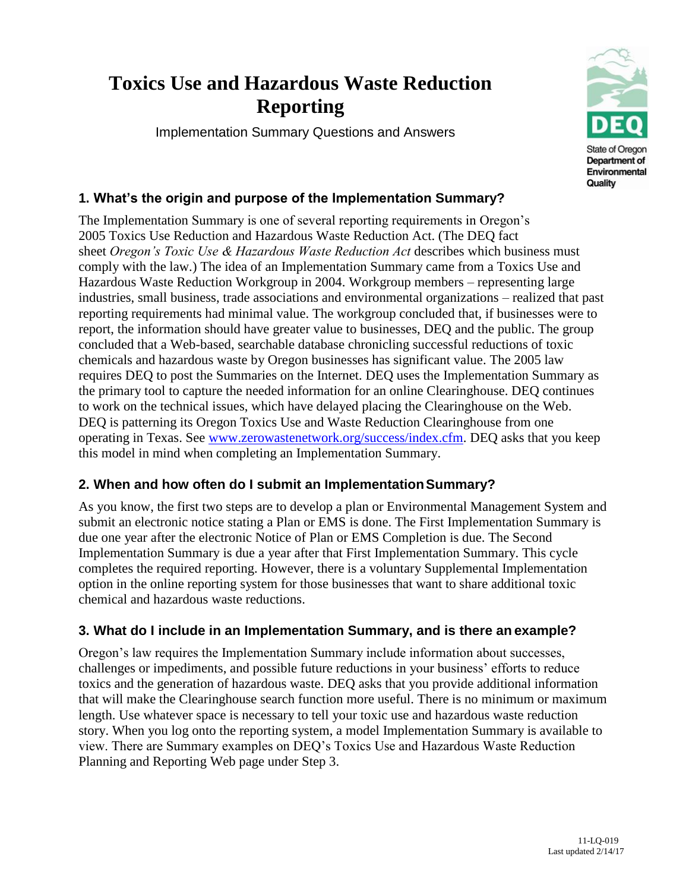# **Toxics Use and Hazardous Waste Reduction Reporting**

Implementation Summary Questions and Answers



# **1. What's the origin and purpose of the Implementation Summary?**

The Implementation Summary is one of several reporting requirements in Oregon's 2005 Toxics Use Reduction and Hazardous Waste Reduction Act. (The DEQ fact sheet *Oregon's Toxic Use & Hazardous Waste Reduction Act* describes which business must comply with the law.) The idea of an Implementation Summary came from a Toxics Use and Hazardous Waste Reduction Workgroup in 2004. Workgroup members – representing large industries, small business, trade associations and environmental organizations – realized that past reporting requirements had minimal value. The workgroup concluded that, if businesses were to report, the information should have greater value to businesses, DEQ and the public. The group concluded that a Web-based, searchable database chronicling successful reductions of toxic chemicals and hazardous waste by Oregon businesses has significant value. The 2005 law requires DEQ to post the Summaries on the Internet. DEQ uses the Implementation Summary as the primary tool to capture the needed information for an online Clearinghouse. DEQ continues to work on the technical issues, which have delayed placing the Clearinghouse on the Web. DEQ is patterning its Oregon Toxics Use and Waste Reduction Clearinghouse from one operating in Texas. See [www.zerowastenetwork.org/success/index.cfm.](http://www.zerowastenetwork.org/success/index.cfm) DEQ asks that you keep this model in mind when completing an Implementation Summary.

# **2. When and how often do I submit an ImplementationSummary?**

As you know, the first two steps are to develop a plan or Environmental Management System and submit an electronic notice stating a Plan or EMS is done. The First Implementation Summary is due one year after the electronic Notice of Plan or EMS Completion is due. The Second Implementation Summary is due a year after that First Implementation Summary. This cycle completes the required reporting. However, there is a voluntary Supplemental Implementation option in the online reporting system for those businesses that want to share additional toxic chemical and hazardous waste reductions.

# **3. What do I include in an Implementation Summary, and is there an example?**

Oregon's law requires the Implementation Summary include information about successes, challenges or impediments, and possible future reductions in your business' efforts to reduce toxics and the generation of hazardous waste. DEQ asks that you provide additional information that will make the Clearinghouse search function more useful. There is no minimum or maximum length. Use whatever space is necessary to tell your toxic use and hazardous waste reduction story. When you log onto the reporting system, a model Implementation Summary is available to view. There are Summary examples on DEQ's Toxics Use and Hazardous Waste Reduction Planning and Reporting Web page under Step 3.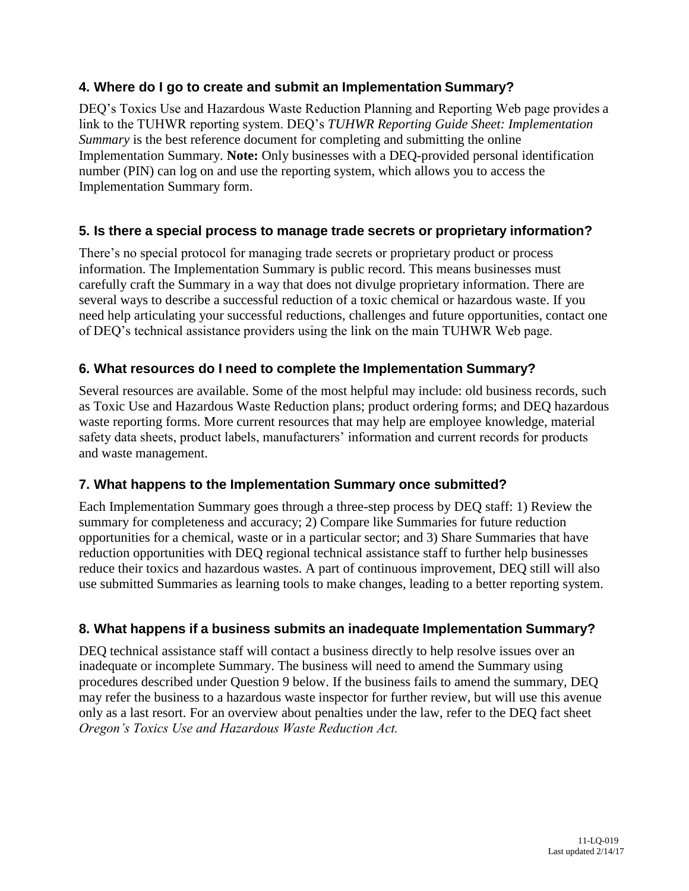# **4. Where do I go to create and submit an Implementation Summary?**

DEQ's Toxics Use and Hazardous Waste Reduction Planning and Reporting Web page provides a link to the TUHWR reporting system. DEQ's *TUHWR Reporting Guide Sheet: Implementation Summary* is the best reference document for completing and submitting the online Implementation Summary. **Note:** Only businesses with a DEQ-provided personal identification number (PIN) can log on and use the reporting system, which allows you to access the Implementation Summary form.

# **5. Is there a special process to manage trade secrets or proprietary information?**

There's no special protocol for managing trade secrets or proprietary product or process information. The Implementation Summary is public record. This means businesses must carefully craft the Summary in a way that does not divulge proprietary information. There are several ways to describe a successful reduction of a toxic chemical or hazardous waste. If you need help articulating your successful reductions, challenges and future opportunities, contact one of DEQ's technical assistance providers using the link on the main TUHWR Web page.

#### **6. What resources do I need to complete the Implementation Summary?**

Several resources are available. Some of the most helpful may include: old business records, such as Toxic Use and Hazardous Waste Reduction plans; product ordering forms; and DEQ hazardous waste reporting forms. More current resources that may help are employee knowledge, material safety data sheets, product labels, manufacturers' information and current records for products and waste management.

#### **7. What happens to the Implementation Summary once submitted?**

Each Implementation Summary goes through a three-step process by DEQ staff: 1) Review the summary for completeness and accuracy; 2) Compare like Summaries for future reduction opportunities for a chemical, waste or in a particular sector; and 3) Share Summaries that have reduction opportunities with DEQ regional technical assistance staff to further help businesses reduce their toxics and hazardous wastes. A part of continuous improvement, DEQ still will also use submitted Summaries as learning tools to make changes, leading to a better reporting system.

# **8. What happens if a business submits an inadequate Implementation Summary?**

DEQ technical assistance staff will contact a business directly to help resolve issues over an inadequate or incomplete Summary. The business will need to amend the Summary using procedures described under Question 9 below. If the business fails to amend the summary, DEQ may refer the business to a hazardous waste inspector for further review, but will use this avenue only as a last resort. For an overview about penalties under the law, refer to the DEQ fact sheet *Oregon's Toxics Use and Hazardous Waste Reduction Act.*